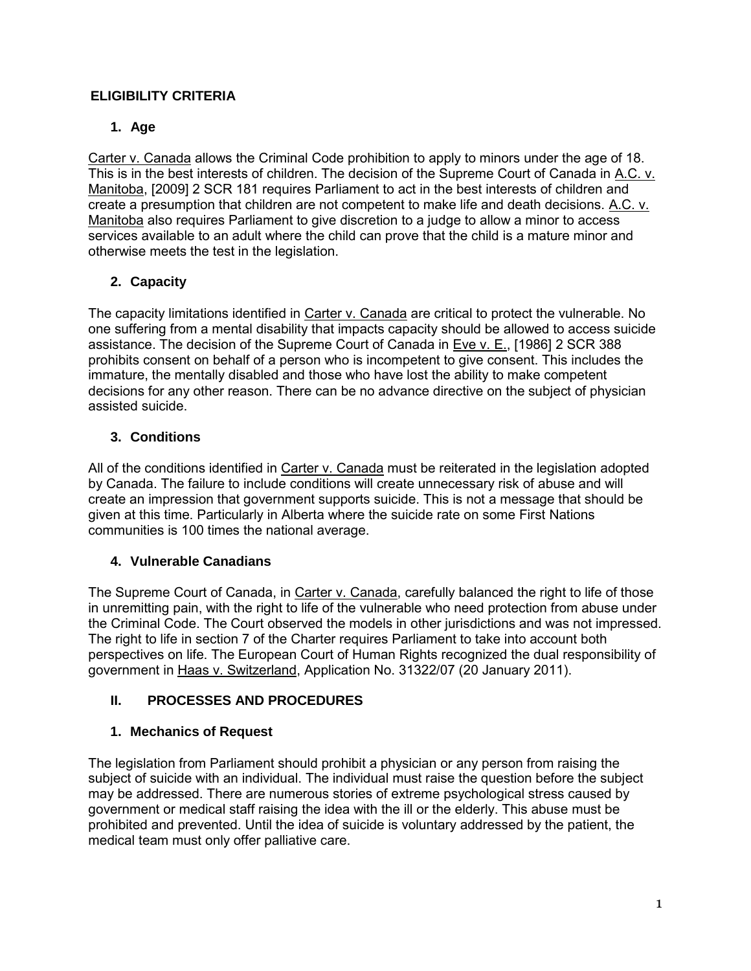## **ELIGIBILITY CRITERIA**

### **1. Age**

Carter v. Canada allows the Criminal Code prohibition to apply to minors under the age of 18. This is in the best interests of children. The decision of the Supreme Court of Canada in A.C. v. Manitoba, [2009] 2 SCR 181 requires Parliament to act in the best interests of children and create a presumption that children are not competent to make life and death decisions. A.C. v. Manitoba also requires Parliament to give discretion to a judge to allow a minor to access services available to an adult where the child can prove that the child is a mature minor and otherwise meets the test in the legislation.

## **2. Capacity**

The capacity limitations identified in Carter v. Canada are critical to protect the vulnerable. No one suffering from a mental disability that impacts capacity should be allowed to access suicide assistance. The decision of the Supreme Court of Canada in Eve v. E., [1986] 2 SCR 388 prohibits consent on behalf of a person who is incompetent to give consent. This includes the immature, the mentally disabled and those who have lost the ability to make competent decisions for any other reason. There can be no advance directive on the subject of physician assisted suicide.

### **3. Conditions**

All of the conditions identified in Carter v. Canada must be reiterated in the legislation adopted by Canada. The failure to include conditions will create unnecessary risk of abuse and will create an impression that government supports suicide. This is not a message that should be given at this time. Particularly in Alberta where the suicide rate on some First Nations communities is 100 times the national average.

### **4. Vulnerable Canadians**

The Supreme Court of Canada, in Carter v. Canada, carefully balanced the right to life of those in unremitting pain, with the right to life of the vulnerable who need protection from abuse under the Criminal Code. The Court observed the models in other jurisdictions and was not impressed. The right to life in section 7 of the Charter requires Parliament to take into account both perspectives on life. The European Court of Human Rights recognized the dual responsibility of government in Haas v. Switzerland, Application No. 31322/07 (20 January 2011).

# **II. PROCESSES AND PROCEDURES**

### **1. Mechanics of Request**

The legislation from Parliament should prohibit a physician or any person from raising the subject of suicide with an individual. The individual must raise the question before the subject may be addressed. There are numerous stories of extreme psychological stress caused by government or medical staff raising the idea with the ill or the elderly. This abuse must be prohibited and prevented. Until the idea of suicide is voluntary addressed by the patient, the medical team must only offer palliative care.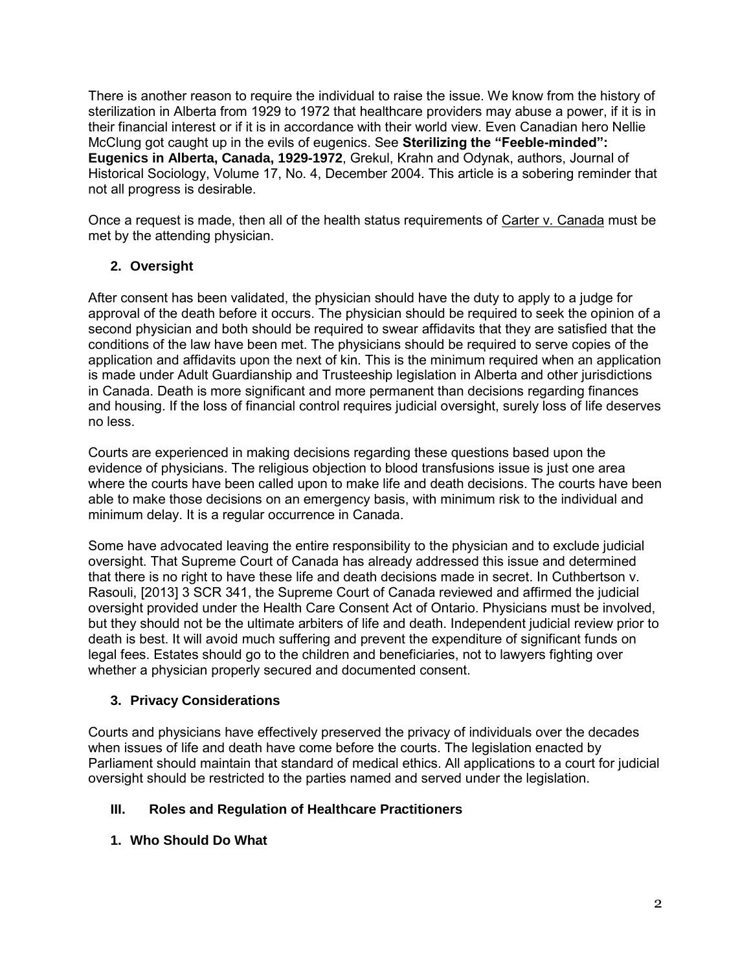There is another reason to require the individual to raise the issue. We know from the history of sterilization in Alberta from 1929 to 1972 that healthcare providers may abuse a power, if it is in their financial interest or if it is in accordance with their world view. Even Canadian hero Nellie McClung got caught up in the evils of eugenics. See **Sterilizing the "Feeble-minded": Eugenics in Alberta, Canada, 1929-1972**, Grekul, Krahn and Odynak, authors, Journal of Historical Sociology, Volume 17, No. 4, December 2004. This article is a sobering reminder that not all progress is desirable.

Once a request is made, then all of the health status requirements of Carter v. Canada must be met by the attending physician.

## **2. Oversight**

After consent has been validated, the physician should have the duty to apply to a judge for approval of the death before it occurs. The physician should be required to seek the opinion of a second physician and both should be required to swear affidavits that they are satisfied that the conditions of the law have been met. The physicians should be required to serve copies of the application and affidavits upon the next of kin. This is the minimum required when an application is made under Adult Guardianship and Trusteeship legislation in Alberta and other jurisdictions in Canada. Death is more significant and more permanent than decisions regarding finances and housing. If the loss of financial control requires judicial oversight, surely loss of life deserves no less.

Courts are experienced in making decisions regarding these questions based upon the evidence of physicians. The religious objection to blood transfusions issue is just one area where the courts have been called upon to make life and death decisions. The courts have been able to make those decisions on an emergency basis, with minimum risk to the individual and minimum delay. It is a regular occurrence in Canada.

Some have advocated leaving the entire responsibility to the physician and to exclude judicial oversight. That Supreme Court of Canada has already addressed this issue and determined that there is no right to have these life and death decisions made in secret. In Cuthbertson v. Rasouli, [2013] 3 SCR 341, the Supreme Court of Canada reviewed and affirmed the judicial oversight provided under the Health Care Consent Act of Ontario. Physicians must be involved, but they should not be the ultimate arbiters of life and death. Independent judicial review prior to death is best. It will avoid much suffering and prevent the expenditure of significant funds on legal fees. Estates should go to the children and beneficiaries, not to lawyers fighting over whether a physician properly secured and documented consent.

### **3. Privacy Considerations**

Courts and physicians have effectively preserved the privacy of individuals over the decades when issues of life and death have come before the courts. The legislation enacted by Parliament should maintain that standard of medical ethics. All applications to a court for judicial oversight should be restricted to the parties named and served under the legislation.

### **III. Roles and Regulation of Healthcare Practitioners**

**1. Who Should Do What**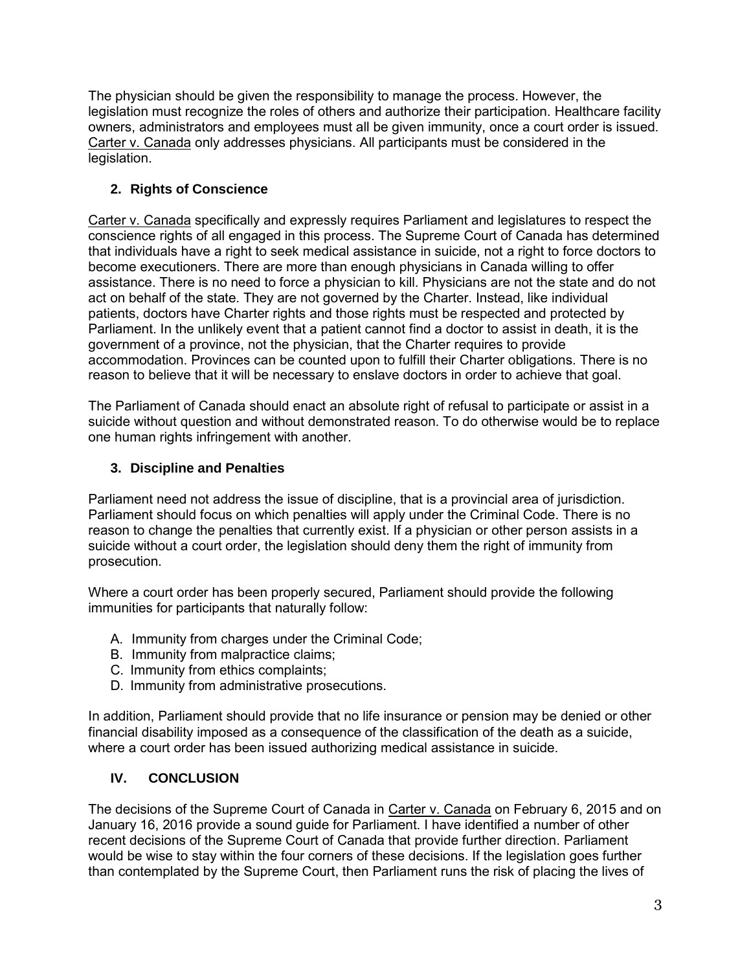The physician should be given the responsibility to manage the process. However, the legislation must recognize the roles of others and authorize their participation. Healthcare facility owners, administrators and employees must all be given immunity, once a court order is issued. Carter v. Canada only addresses physicians. All participants must be considered in the legislation.

# **2. Rights of Conscience**

Carter v. Canada specifically and expressly requires Parliament and legislatures to respect the conscience rights of all engaged in this process. The Supreme Court of Canada has determined that individuals have a right to seek medical assistance in suicide, not a right to force doctors to become executioners. There are more than enough physicians in Canada willing to offer assistance. There is no need to force a physician to kill. Physicians are not the state and do not act on behalf of the state. They are not governed by the Charter. Instead, like individual patients, doctors have Charter rights and those rights must be respected and protected by Parliament. In the unlikely event that a patient cannot find a doctor to assist in death, it is the government of a province, not the physician, that the Charter requires to provide accommodation. Provinces can be counted upon to fulfill their Charter obligations. There is no reason to believe that it will be necessary to enslave doctors in order to achieve that goal.

The Parliament of Canada should enact an absolute right of refusal to participate or assist in a suicide without question and without demonstrated reason. To do otherwise would be to replace one human rights infringement with another.

### **3. Discipline and Penalties**

Parliament need not address the issue of discipline, that is a provincial area of jurisdiction. Parliament should focus on which penalties will apply under the Criminal Code. There is no reason to change the penalties that currently exist. If a physician or other person assists in a suicide without a court order, the legislation should deny them the right of immunity from prosecution.

Where a court order has been properly secured, Parliament should provide the following immunities for participants that naturally follow:

- A. Immunity from charges under the Criminal Code;
- B. Immunity from malpractice claims;
- C. Immunity from ethics complaints;
- D. Immunity from administrative prosecutions.

In addition, Parliament should provide that no life insurance or pension may be denied or other financial disability imposed as a consequence of the classification of the death as a suicide, where a court order has been issued authorizing medical assistance in suicide.

### **IV. CONCLUSION**

The decisions of the Supreme Court of Canada in Carter v. Canada on February 6, 2015 and on January 16, 2016 provide a sound guide for Parliament. I have identified a number of other recent decisions of the Supreme Court of Canada that provide further direction. Parliament would be wise to stay within the four corners of these decisions. If the legislation goes further than contemplated by the Supreme Court, then Parliament runs the risk of placing the lives of